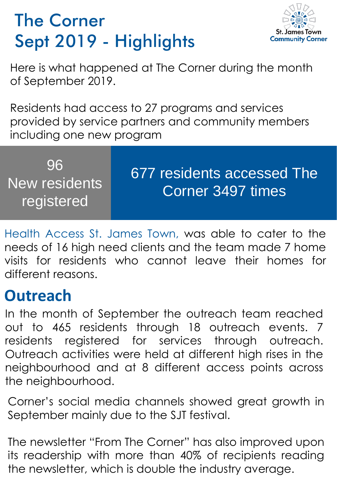## The Corner Sept 2019 - Highlights



Here is what happened at The Corner during the month of September 2019.

Residents had access to 27 programs and services provided by service partners and community members including one new program

| 96<br>New residents<br>registered | 677 residents accessed The<br>Corner 3497 times |
|-----------------------------------|-------------------------------------------------|
|-----------------------------------|-------------------------------------------------|

Health Access St. James Town, was able to cater to the needs of 16 high need clients and the team made 7 home visits for residents who cannot leave their homes for different reasons.

## **Outreach**

In the month of September the outreach team reached out to 465 residents through 18 outreach events. 7 residents registered for services through outreach. Outreach activities were held at different high rises in the neighbourhood and at 8 different access points across the neighbourhood.

Corner's social media channels showed great growth in September mainly due to the SJT festival.

The newsletter "From The Corner" has also improved upon its readership with more than 40% of recipients reading the newsletter, which is double the industry average.